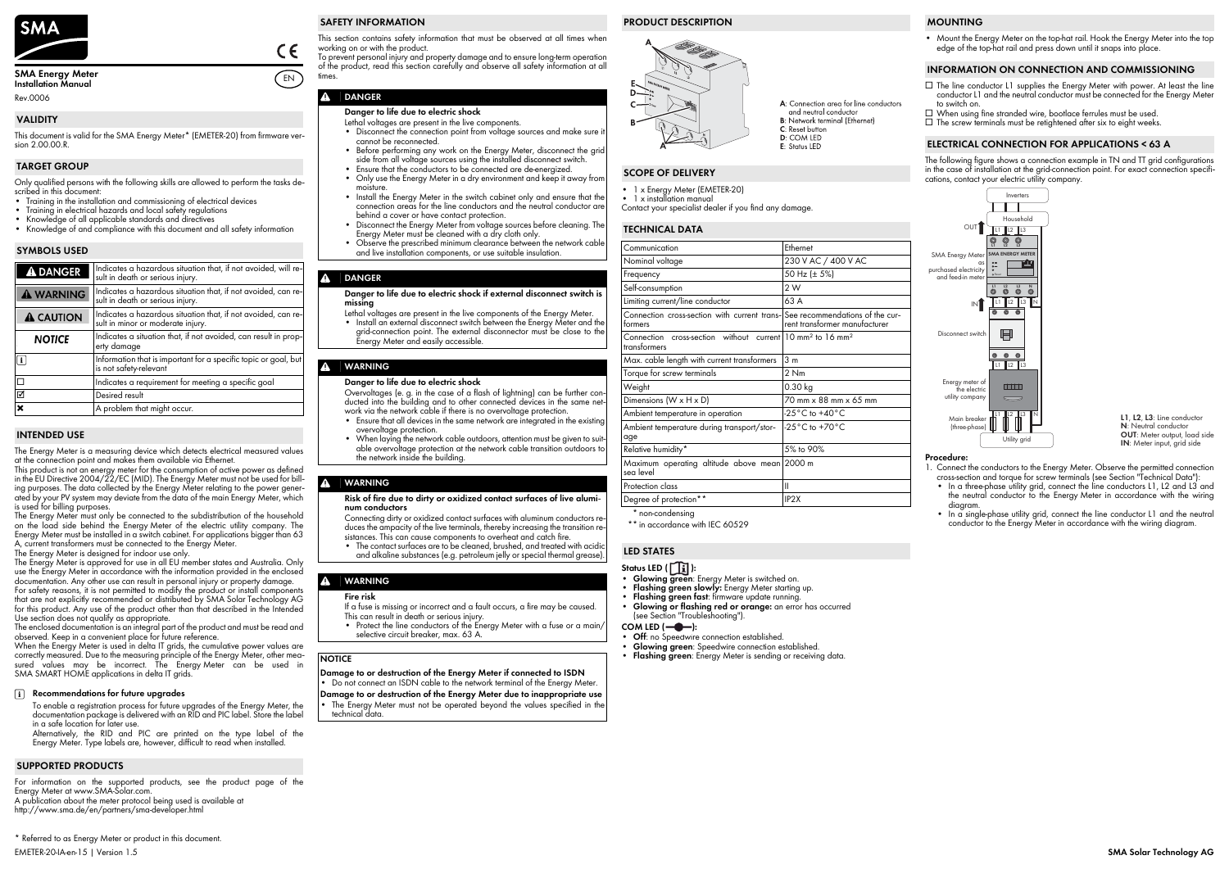

#### **SMA Energy Meter Installation Manual**

Rev.0006

This document is valid for the SMA Energy Meter\* (EMETER-20) from firmware version 2.00.00.R.

Only qualified persons with the following skills are allowed to perform the tasks de- scribed in this document:

- Training in the installation and commissioning of electrical devices
- Training in electrical hazards and local safety regulations
- Knowledge of all applicable standards and directives
- Knowledge of and compliance with this document and all safety information

This product is not an energy meter for the consumption of active power as defined in the EU Directive 2004/22/EC (MID). The Energy Meter must not be used for billing purposes. The data collected by the Energy Meter relating to the power generated by your PV system may deviate from the data of the main Energy Meter, which is used for billing purposes.

The Energy Meter is a measuring device which detects electrical measured values at the connection point and makes them available via Ethernet.

The Energy Meter must only be connected to the subdistribution of the household on the load side behind the Energy Meter of the electric utility company. The Energy Meter must be installed in a switch cabinet. For applications bigger than 63 A, current transformers must be connected to the Energy Meter.

When the Energy Meter is used in delta IT grids, the cumulative power values are correctly measured. Due to the measuring principle of the Energy Meter, other measured values may be incorrect. The Energy Meter can be used in SMA SMART HOME applications in delta IT grids.

The Energy Meter is designed for indoor use only.

The Energy Meter is approved for use in all EU member states and Australia. Only use the Energy Meter in accordance with the information provided in the enclosed documentation. Any other use can result in personal injury or property damage. For safety reasons, it is not permitted to modify the product or install components that are not explicitly recommended or distributed by SMA Solar Technology AG

- **Status LED (1):**
- 
- **Glowing green**: Energy Meter is switched on. **Flashing green slowly:** Energy Meter starting up.
- **Flashing green fast**: firmware update running.
- **Glowing or flashing red or orange:** an error has occurred (see Section ["Troubleshooting"](#page-1-0)).
- **COM LED (-0-):**
- **Off**: no Speedwire connection established.
- **Glowing green**: Speedwire connection established.
- **Flashing green**: Energy Meter is sending or receiving data.
- ☐ The line conductor L1 supplies the Energy Meter with power. At least the line conductor L1 and the neutral conductor must be connected for the Energy Meter to switch on.
- ☐ When using fine stranded wire, bootlace ferrules must be used.
- $\Box$  The screw terminals must be retightened after six to eight weeks.

for this product. Any use of the product other than that described in the Intended Use section does not qualify as appropriate.

The enclosed documentation is an integral part of the product and must be read and observed. Keep in a convenient place for future reference.

EMETER-20-IA-en-15 | Version 1.5 **SMA Solar Technology AG** \* Referred to as Energy Meter or product in this document.

For information on the supported products, see the product page of the Energy Meter at www.SMA-Solar.com.

A publication about the meter protocol being used is available at

http://www.sma.de/en/partners/sma-developer.html

This section contains safety information that must be observed at all times when working on or with the product.

To prevent personal injury and property damage and to ensure long-term operation of the product, read this section carefully and observe all safety information at all times.

# **A** DANGER

Contact your specialist dealer if you find any damage.

- Disconnect the connection point from voltage sources and make sure it cannot be reconnected.
- Before performing any work on the Energy Meter, disconnect the grid side from all voltage sources using the installed disconnect switch.
- Ensure that the conductors to be connected are de-energized.
- Only use the Energy Meter in a dry environment and keep it away from moisture.
- Install the Energy Meter in the switch cabinet only and ensure that the connection areas for the line conductors and the neutral conductor are behind a cover or have contact protection.
- Disconnect the Energy Meter from voltage sources before cleaning. The Energy Meter must be cleaned with a dry cloth only.
- Observe the prescribed minimum clearance between the network cable and live installation components, or use suitable insulation.

• Mount the Energy Meter on the top-hat rail. Hook the Energy Meter into the top edge of the top-hat rail and press down until it snaps into place.

The following figure shows a connection example in TN and TT grid configurations in the case of installation at the grid-connection point. For exact connection specifications, contact your electric utility company.

#### **Procedure:**

Do not connect an ISDN cable to the network terminal of the Energy Meter. **Damage to or destruction of the Energy Meter due to inappropriate use** The Energy Meter must not be operated beyond the values specified in the technical data.

- 1. Connect the conductors to the Energy Meter. Observe the permitted connection
- cross-section and torque for screw terminals (see Section "[Technical Data"](#page-0-0)): • In a three-phase utility grid, connect the line conductors L1, L2 and L3 and the neutral conductor to the Energy Meter in accordance with the wiring diagram.
- In a single-phase utility grid, connect the line conductor L1 and the neutral conductor to the Energy Meter in accordance with the wiring diagram.

## **VALIDITY**

## **TARGET GROUP**

# **SYMBOLS USED**

L1, L2, L3: Line conductor **N** : Neutral conductor **OUT** : Meter output, load side **IN** : Meter input, grid side

| A DANGER         | Indicates a hazardous situation that, if not avoided, will re-<br>sult in death or serious injury. |
|------------------|----------------------------------------------------------------------------------------------------|
| A WARNING        | Indicates a hazardous situation that, if not avoided, can re-<br>sult in death or serious injury.  |
| <b>A CAUTION</b> | Indicates a hazardous situation that, if not avoided, can re-<br>sult in minor or moderate injury. |
| <b>NOTICE</b>    | Indicates a situation that, if not avoided, can result in prop-<br>erty damage                     |
|                  | Information that is important for a specific topic or goal, but<br>is not safety-relevant          |
|                  | Indicates a requirement for meeting a specific goal                                                |
| ☑                | Desired result                                                                                     |
| ×                | A problem that might occur.                                                                        |
|                  |                                                                                                    |

# **INTENDED USE**

# **Recommendations for future upgrades**

To enable a registration process for future upgrades of the Energy Meter, the documentation package is delivered with an RID and PIC label. Store the label in a safe location for later use.

Alternatively, the RID and PIC are printed on the type label of the Energy Meter. Type labels are, however, difficult to read when installed.

# **SUPPORTED PRODUCTS**

EN

 $\epsilon$ 

# **SAFETY INFORMATION**

#### **Danger to life due to electric shock**

#### Lethal voltages are present in the live components.

# **DANGER**

#### **Danger to life due to electric shock if external disconnect switch is missing**

Lethal voltages are present in the live components of the Energy Meter. • Install an external disconnect switch between the Energy Meter and the grid-connection point. The external disconnector must be close to the Energy Meter and easily accessible.

# **WARNING**

#### **Danger to life due to electric shock**

Overvoltages (e. g. in the case of a flash of lightning) can be further con- ducted into the building and to other connected devices in the same network via the network cable if there is no overvoltage protection.

- Ensure that all devices in the same network are integrated in the existing overvoltage protection.
- When laying the network cable outdoors, attention must be given to suitable overvoltage protection at the network cable transition outdoors to the network inside the building.

# **WARNING**

# **Risk of fire due to dirty or oxidized contact surfaces of live alumi**- **num conductors**

duces the ampacity of the live terminals, thereby increasing the transition re-<br>sistances. This can cause components to overheat and catch fire.<br>• The contact surfaces are to be cleaned, brushed, and treated with acidic

and alkaline substances (e.g. petroleum jelly or special thermal grease).

# **WARNING**

#### **Fire risk**

If a fuse is missing or incorrect and a fault occurs, a fire may be caused. This can result in death or serious injury.

• Protect the line conductors of the Energy Meter with a fuse or a main/ selective circuit breaker, max. 63 A.

#### **NOTICE**

# **Damage to or destruction of the Energy Meter if connected to ISDN**

# **PRODUCT DESCRIPTION**



A: Connection area for line conductors and neutral conductor **B**: Network terminal (Ethernet)  $C$ : Reset button

- **D:** COM LED  $F$ : Status IFD
- 

# **SCOPE OF DELIVERY**

- 1 x Energy Meter (EMETER-20)
- 1 x installation manual

# <span id="page-0-0"></span>**TECHNICAL DATA**

| Communication                                                                                                                                                                                                                                                                                                                               | Ethernet                           |  |
|---------------------------------------------------------------------------------------------------------------------------------------------------------------------------------------------------------------------------------------------------------------------------------------------------------------------------------------------|------------------------------------|--|
| Nominal voltage                                                                                                                                                                                                                                                                                                                             | 230 V AC / 400 V AC                |  |
| Frequency                                                                                                                                                                                                                                                                                                                                   | 50 Hz (± 5%)                       |  |
| Self-consumption                                                                                                                                                                                                                                                                                                                            | 2W                                 |  |
| Limiting current/line conductor                                                                                                                                                                                                                                                                                                             | 63 A                               |  |
| Connection cross-section with current trans- See recommendations of the cur-<br>formers                                                                                                                                                                                                                                                     | rent transformer manufacturer      |  |
| cross-section without current 10 mm <sup>2</sup> to 16 mm <sup>2</sup><br>Connection<br>transformers                                                                                                                                                                                                                                        |                                    |  |
| Max. cable length with current transformers                                                                                                                                                                                                                                                                                                 | 3 <sub>m</sub>                     |  |
| Torque for screw terminals                                                                                                                                                                                                                                                                                                                  | 2 Nm                               |  |
| Weight                                                                                                                                                                                                                                                                                                                                      | $0.30$ kg                          |  |
| Dimensions (W x H x D)                                                                                                                                                                                                                                                                                                                      | 70 mm x 88 mm x 65 mm              |  |
| Ambient temperature in operation                                                                                                                                                                                                                                                                                                            | $-25^{\circ}$ C to $+40^{\circ}$ C |  |
| Ambient temperature during transport/stor-<br>age                                                                                                                                                                                                                                                                                           | $-25^{\circ}$ C to $+70^{\circ}$ C |  |
| Relative humidity*                                                                                                                                                                                                                                                                                                                          | 5% to 90%                          |  |
| Maximum operating altitude above mean<br>sea level                                                                                                                                                                                                                                                                                          | 2000 m                             |  |
| Protection class                                                                                                                                                                                                                                                                                                                            | Ш                                  |  |
| Degree of protection**                                                                                                                                                                                                                                                                                                                      | IP <sub>2</sub> X                  |  |
| $\star$ $\qquad$ $\qquad$ $\qquad$ $\qquad$ $\qquad$ $\qquad$ $\qquad$ $\qquad$ $\qquad$ $\qquad$ $\qquad$ $\qquad$ $\qquad$ $\qquad$ $\qquad$ $\qquad$ $\qquad$ $\qquad$ $\qquad$ $\qquad$ $\qquad$ $\qquad$ $\qquad$ $\qquad$ $\qquad$ $\qquad$ $\qquad$ $\qquad$ $\qquad$ $\qquad$ $\qquad$ $\qquad$ $\qquad$ $\qquad$ $\qquad$ $\qquad$ |                                    |  |

non-condensing

\*\* in accordance with IEC 60529

# **LED STATES**

# **MOUNTING**

#### **INFORMATION ON CONNECTION AND COMMISSIONING**

#### **ELECTRICAL CONNECTION FOR APPLICATIONS < 63 A**